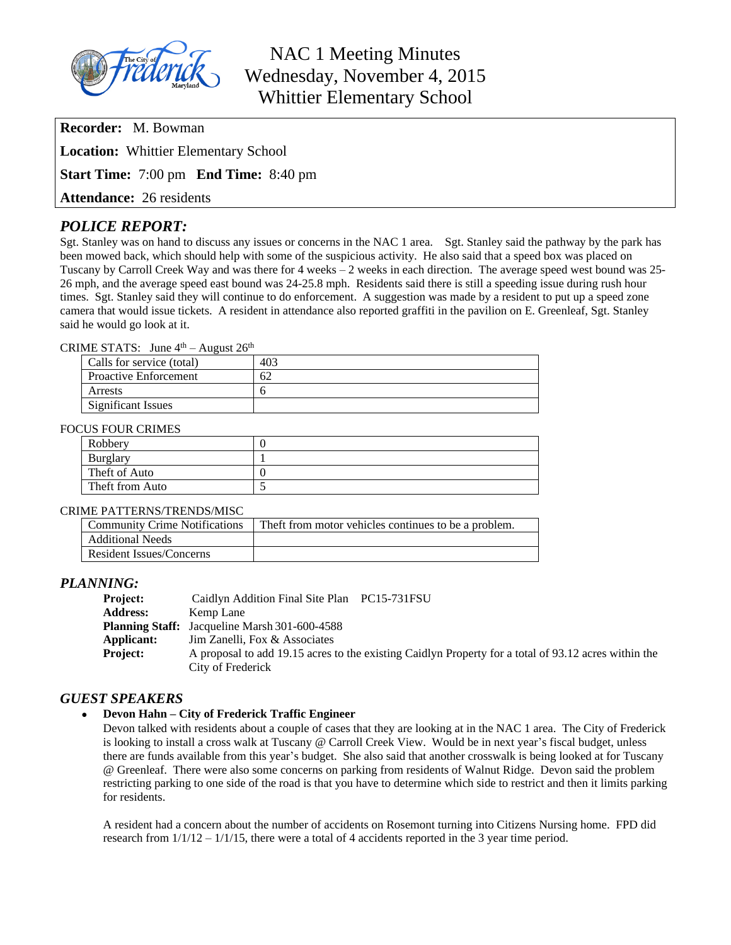

## NAC 1 Meeting Minutes Wednesday, November 4, 2015 Whittier Elementary School

**Recorder:** M. Bowman

**Location:** Whittier Elementary School

**Start Time:** 7:00 pm **End Time:** 8:40 pm

**Attendance:** 26 residents

## *POLICE REPORT:*

Sgt. Stanley was on hand to discuss any issues or concerns in the NAC 1 area. Sgt. Stanley said the pathway by the park has been mowed back, which should help with some of the suspicious activity. He also said that a speed box was placed on Tuscany by Carroll Creek Way and was there for 4 weeks – 2 weeks in each direction. The average speed west bound was 25- 26 mph, and the average speed east bound was 24-25.8 mph. Residents said there is still a speeding issue during rush hour times. Sgt. Stanley said they will continue to do enforcement. A suggestion was made by a resident to put up a speed zone camera that would issue tickets. A resident in attendance also reported graffiti in the pavilion on E. Greenleaf, Sgt. Stanley said he would go look at it.

#### CRIME STATS: June  $4<sup>th</sup>$  – August  $26<sup>th</sup>$

| Calls for service (total) | 403 |
|---------------------------|-----|
| Proactive Enforcement     | 62  |
| Arrests                   |     |
| Significant Issues        |     |

#### FOCUS FOUR CRIMES

| Robbery         |  |
|-----------------|--|
| <b>Burglary</b> |  |
| Theft of Auto   |  |
| Theft from Auto |  |

#### CRIME PATTERNS/TRENDS/MISC

| <b>Community Crime Notifications</b> | Theft from motor vehicles continues to be a problem. |
|--------------------------------------|------------------------------------------------------|
| <b>Additional Needs</b>              |                                                      |
| Resident Issues/Concerns             |                                                      |

## *PLANNING:*

| <b>Project:</b> | Caidlyn Addition Final Site Plan PC15-731FSU                                                         |  |
|-----------------|------------------------------------------------------------------------------------------------------|--|
| <b>Address:</b> | Kemp Lane                                                                                            |  |
|                 | <b>Planning Staff:</b> Jacqueline Marsh 301-600-4588                                                 |  |
| Applicant:      | Jim Zanelli, Fox & Associates                                                                        |  |
| <b>Project:</b> | A proposal to add 19.15 acres to the existing Caidlyn Property for a total of 93.12 acres within the |  |
|                 | City of Frederick                                                                                    |  |

## *GUEST SPEAKERS*

#### **Devon Hahn – City of Frederick Traffic Engineer**

Devon talked with residents about a couple of cases that they are looking at in the NAC 1 area. The City of Frederick is looking to install a cross walk at Tuscany @ Carroll Creek View. Would be in next year's fiscal budget, unless there are funds available from this year's budget. She also said that another crosswalk is being looked at for Tuscany @ Greenleaf. There were also some concerns on parking from residents of Walnut Ridge. Devon said the problem restricting parking to one side of the road is that you have to determine which side to restrict and then it limits parking for residents.

A resident had a concern about the number of accidents on Rosemont turning into Citizens Nursing home. FPD did research from  $1/1/12 - 1/1/15$ , there were a total of 4 accidents reported in the 3 year time period.